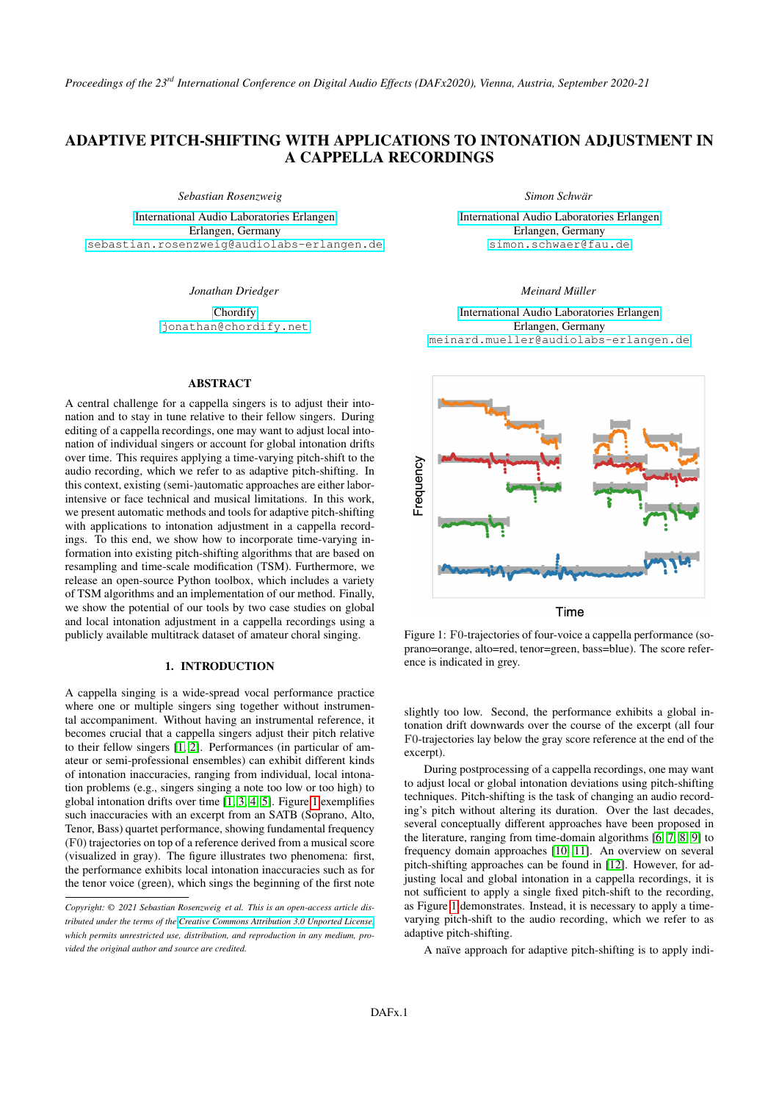# ADAPTIVE PITCH-SHIFTING WITH APPLICATIONS TO INTONATION ADJUSTMENT IN A CAPPELLA RECORDINGS

*Sebastian Rosenzweig*

[International Audio Laboratories Erlangen](https://www.audiolabs-erlangen.de/) Erlangen, Germany [sebastian.rosenzweig@audiolabs-erlangen.de](mailto:sebastian.rosenzweig@audiolabs-erlangen.de)

*Jonathan Driedger*

[Chordify](https://chordify.net/) [jonathan@chordify.net](mailto:jonathan@chordify.net)

#### ABSTRACT

A central challenge for a cappella singers is to adjust their intonation and to stay in tune relative to their fellow singers. During editing of a cappella recordings, one may want to adjust local intonation of individual singers or account for global intonation drifts over time. This requires applying a time-varying pitch-shift to the audio recording, which we refer to as adaptive pitch-shifting. In this context, existing (semi-)automatic approaches are either laborintensive or face technical and musical limitations. In this work, we present automatic methods and tools for adaptive pitch-shifting with applications to intonation adjustment in a cappella recordings. To this end, we show how to incorporate time-varying information into existing pitch-shifting algorithms that are based on resampling and time-scale modification (TSM). Furthermore, we release an open-source Python toolbox, which includes a variety of TSM algorithms and an implementation of our method. Finally, we show the potential of our tools by two case studies on global and local intonation adjustment in a cappella recordings using a publicly available multitrack dataset of amateur choral singing.

# 1. INTRODUCTION

A cappella singing is a wide-spread vocal performance practice where one or multiple singers sing together without instrumental accompaniment. Without having an instrumental reference, it becomes crucial that a cappella singers adjust their pitch relative to their fellow singers [\[1,](#page-6-0) [2\]](#page-6-1). Performances (in particular of amateur or semi-professional ensembles) can exhibit different kinds of intonation inaccuracies, ranging from individual, local intonation problems (e.g., singers singing a note too low or too high) to global intonation drifts over time [\[1,](#page-6-0) [3,](#page-6-2) [4,](#page-6-3) [5\]](#page-6-4). Figure [1](#page-0-0) exemplifies such inaccuracies with an excerpt from an SATB (Soprano, Alto, Tenor, Bass) quartet performance, showing fundamental frequency (F0) trajectories on top of a reference derived from a musical score (visualized in gray). The figure illustrates two phenomena: first, the performance exhibits local intonation inaccuracies such as for the tenor voice (green), which sings the beginning of the first note *Simon Schwär*

[International Audio Laboratories Erlangen](https://www.audiolabs-erlangen.de/) Erlangen, Germany [simon.schwaer@fau.de](mailto:simon.schwaer@fau.de)

# *Meinard Müller*

[International Audio Laboratories Erlangen](https://www.audiolabs-erlangen.de/) Erlangen, Germany [meinard.mueller@audiolabs-erlangen.de](mailto:meinard.mueller@audiolabs-erlangen.de)

<span id="page-0-0"></span>

Figure 1: F0-trajectories of four-voice a cappella performance (soprano=orange, alto=red, tenor=green, bass=blue). The score reference is indicated in grey.

slightly too low. Second, the performance exhibits a global intonation drift downwards over the course of the excerpt (all four F0-trajectories lay below the gray score reference at the end of the excerpt).

During postprocessing of a cappella recordings, one may want to adjust local or global intonation deviations using pitch-shifting techniques. Pitch-shifting is the task of changing an audio recording's pitch without altering its duration. Over the last decades, several conceptually different approaches have been proposed in the literature, ranging from time-domain algorithms [\[6,](#page-6-5) [7,](#page-6-6) [8,](#page-6-7) [9\]](#page-6-8) to frequency domain approaches [\[10,](#page-6-9) [11\]](#page-6-10). An overview on several pitch-shifting approaches can be found in [\[12\]](#page-6-11). However, for adjusting local and global intonation in a cappella recordings, it is not sufficient to apply a single fixed pitch-shift to the recording, as Figure [1](#page-0-0) demonstrates. Instead, it is necessary to apply a timevarying pitch-shift to the audio recording, which we refer to as adaptive pitch-shifting.

A naïve approach for adaptive pitch-shifting is to apply indi-

*Copyright: © 2021 Sebastian Rosenzweig et al. This is an open-access article distributed under the terms of the [Creative Commons Attribution 3.0 Unported License,](http://creativecommons.org/licenses/by/3.0/) which permits unrestricted use, distribution, and reproduction in any medium, provided the original author and source are credited.*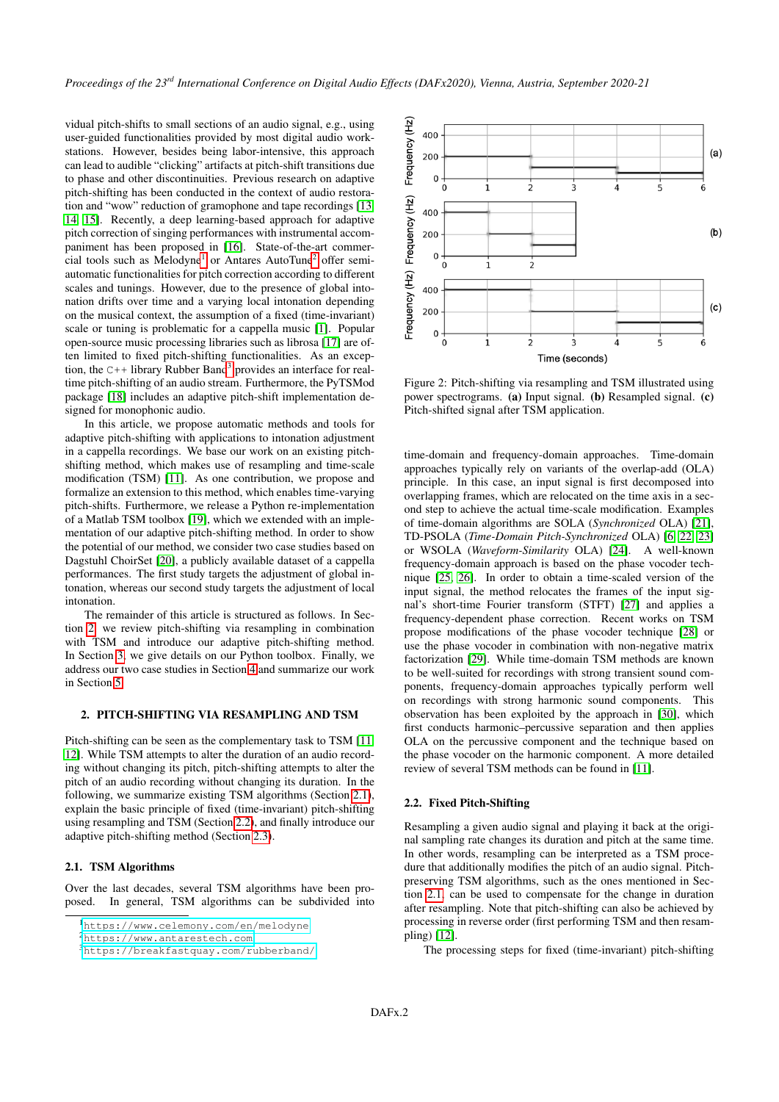vidual pitch-shifts to small sections of an audio signal, e.g., using user-guided functionalities provided by most digital audio workstations. However, besides being labor-intensive, this approach can lead to audible "clicking" artifacts at pitch-shift transitions due to phase and other discontinuities. Previous research on adaptive pitch-shifting has been conducted in the context of audio restoration and "wow" reduction of gramophone and tape recordings [\[13,](#page-6-12) [14,](#page-6-13) [15\]](#page-6-14). Recently, a deep learning-based approach for adaptive pitch correction of singing performances with instrumental accompaniment has been proposed in [\[16\]](#page-6-15). State-of-the-art commer-cial tools such as Melodyne<sup>[1](#page-1-0)</sup> or Antares AutoTune<sup>[2](#page-1-1)</sup> offer semiautomatic functionalities for pitch correction according to different scales and tunings. However, due to the presence of global intonation drifts over time and a varying local intonation depending on the musical context, the assumption of a fixed (time-invariant) scale or tuning is problematic for a cappella music [\[1\]](#page-6-0). Popular open-source music processing libraries such as librosa [\[17\]](#page-6-16) are often limited to fixed pitch-shifting functionalities. As an exception, the  $C++$  library Rubber Band<sup>[3](#page-1-2)</sup> provides an interface for realtime pitch-shifting of an audio stream. Furthermore, the PyTSMod package [\[18\]](#page-6-17) includes an adaptive pitch-shift implementation designed for monophonic audio.

In this article, we propose automatic methods and tools for adaptive pitch-shifting with applications to intonation adjustment in a cappella recordings. We base our work on an existing pitchshifting method, which makes use of resampling and time-scale modification (TSM) [\[11\]](#page-6-10). As one contribution, we propose and formalize an extension to this method, which enables time-varying pitch-shifts. Furthermore, we release a Python re-implementation of a Matlab TSM toolbox [\[19\]](#page-6-18), which we extended with an implementation of our adaptive pitch-shifting method. In order to show the potential of our method, we consider two case studies based on Dagstuhl ChoirSet [\[20\]](#page-6-19), a publicly available dataset of a cappella performances. The first study targets the adjustment of global intonation, whereas our second study targets the adjustment of local intonation.

The remainder of this article is structured as follows. In Section [2,](#page-1-3) we review pitch-shifting via resampling in combination with TSM and introduce our adaptive pitch-shifting method. In Section [3,](#page-3-0) we give details on our Python toolbox. Finally, we address our two case studies in Section [4](#page-3-1) and summarize our work in Section [5.](#page-6-20)

#### <span id="page-1-3"></span>2. PITCH-SHIFTING VIA RESAMPLING AND TSM

Pitch-shifting can be seen as the complementary task to TSM [\[11,](#page-6-10) [12\]](#page-6-11). While TSM attempts to alter the duration of an audio recording without changing its pitch, pitch-shifting attempts to alter the pitch of an audio recording without changing its duration. In the following, we summarize existing TSM algorithms (Section [2.1\)](#page-1-4), explain the basic principle of fixed (time-invariant) pitch-shifting using resampling and TSM (Section [2.2\)](#page-1-5), and finally introduce our adaptive pitch-shifting method (Section [2.3\)](#page-2-0).

# <span id="page-1-4"></span>2.1. TSM Algorithms

Over the last decades, several TSM algorithms have been proposed. In general, TSM algorithms can be subdivided into

<span id="page-1-1"></span><sup>2</sup><https://www.antarestech.com>

<span id="page-1-6"></span>

Figure 2: Pitch-shifting via resampling and TSM illustrated using power spectrograms. (a) Input signal. (b) Resampled signal. (c) Pitch-shifted signal after TSM application.

time-domain and frequency-domain approaches. Time-domain approaches typically rely on variants of the overlap-add (OLA) principle. In this case, an input signal is first decomposed into overlapping frames, which are relocated on the time axis in a second step to achieve the actual time-scale modification. Examples of time-domain algorithms are SOLA (*Synchronized* OLA) [\[21\]](#page-6-21), TD-PSOLA (*Time-Domain Pitch-Synchronized* OLA) [\[6,](#page-6-5) [22,](#page-6-22) [23\]](#page-7-0) or WSOLA (*Waveform-Similarity* OLA) [\[24\]](#page-7-1). A well-known frequency-domain approach is based on the phase vocoder technique [\[25,](#page-7-2) [26\]](#page-7-3). In order to obtain a time-scaled version of the input signal, the method relocates the frames of the input signal's short-time Fourier transform (STFT) [\[27\]](#page-7-4) and applies a frequency-dependent phase correction. Recent works on TSM propose modifications of the phase vocoder technique [\[28\]](#page-7-5) or use the phase vocoder in combination with non-negative matrix factorization [\[29\]](#page-7-6). While time-domain TSM methods are known to be well-suited for recordings with strong transient sound components, frequency-domain approaches typically perform well on recordings with strong harmonic sound components. This observation has been exploited by the approach in [\[30\]](#page-7-7), which first conducts harmonic–percussive separation and then applies OLA on the percussive component and the technique based on the phase vocoder on the harmonic component. A more detailed review of several TSM methods can be found in [\[11\]](#page-6-10).

#### <span id="page-1-5"></span>2.2. Fixed Pitch-Shifting

Resampling a given audio signal and playing it back at the original sampling rate changes its duration and pitch at the same time. In other words, resampling can be interpreted as a TSM procedure that additionally modifies the pitch of an audio signal. Pitchpreserving TSM algorithms, such as the ones mentioned in Section [2.1,](#page-1-4) can be used to compensate for the change in duration after resampling. Note that pitch-shifting can also be achieved by processing in reverse order (first performing TSM and then resampling) [\[12\]](#page-6-11).

The processing steps for fixed (time-invariant) pitch-shifting

<span id="page-1-0"></span><sup>1</sup><https://www.celemony.com/en/melodyne>

<span id="page-1-2"></span><sup>3</sup><https://breakfastquay.com/rubberband/>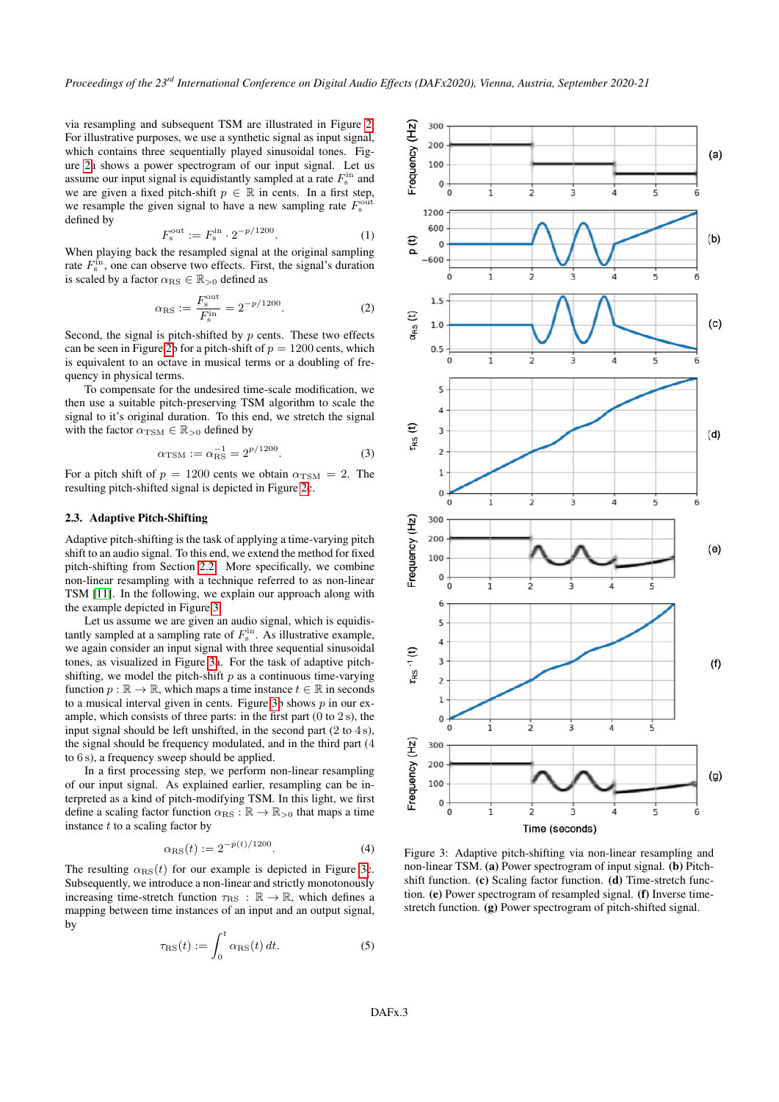via resampling and subsequent TSM are illustrated in Figure [2.](#page-1-6) For illustrative purposes, we use a synthetic signal as input signal, which contains three sequentially played sinusoidal tones. Figure [2a](#page-1-6) shows a power spectrogram of our input signal. Let us assume our input signal is equidistantly sampled at a rate  $F_s^{\text{in}}$  and we are given a fixed pitch-shift  $p \in \mathbb{R}$  in cents. In a first step, we resample the given signal to have a new sampling rate  $F_s^{\text{out}}$ defined by

$$
F_{\rm s}^{\rm out} := F_{\rm s}^{\rm in} \cdot 2^{-p/1200}.\tag{1}
$$

When playing back the resampled signal at the original sampling rate  $F_s^{\text{in}}$ , one can observe two effects. First, the signal's duration is scaled by a factor  $\alpha_{\rm RS} \in \mathbb{R}_{>0}$  defined as

$$
\alpha_{\rm RS} := \frac{F_{\rm s}^{\rm out}}{F_{\rm s}^{\rm in}} = 2^{-p/1200}.
$$
 (2)

Second, the signal is pitch-shifted by  $p$  cents. These two effects can be seen in Figure [2b](#page-1-6) for a pitch-shift of  $p = 1200$  cents, which is equivalent to an octave in musical terms or a doubling of frequency in physical terms.

To compensate for the undesired time-scale modification, we then use a suitable pitch-preserving TSM algorithm to scale the signal to it's original duration. To this end, we stretch the signal with the factor  $\alpha_{\text{TSM}} \in \mathbb{R}_{>0}$  defined by

$$
\alpha_{\rm TSM} := \alpha_{\rm RS}^{-1} = 2^{p/1200}.
$$
 (3)

For a pitch shift of  $p = 1200$  cents we obtain  $\alpha_{\text{TSM}} = 2$ . The resulting pitch-shifted signal is depicted in Figure [2c](#page-1-6).

# <span id="page-2-0"></span>2.3. Adaptive Pitch-Shifting

Adaptive pitch-shifting is the task of applying a time-varying pitch shift to an audio signal. To this end, we extend the method for fixed pitch-shifting from Section [2.2.](#page-1-5) More specifically, we combine non-linear resampling with a technique referred to as non-linear TSM [\[11\]](#page-6-10). In the following, we explain our approach along with the example depicted in Figure [3.](#page-2-1)

Let us assume we are given an audio signal, which is equidistantly sampled at a sampling rate of  $F_s^{\text{in}}$ . As illustrative example, we again consider an input signal with three sequential sinusoidal tones, as visualized in Figure [3a](#page-2-1). For the task of adaptive pitchshifting, we model the pitch-shift  $p$  as a continuous time-varying function  $p : \mathbb{R} \to \mathbb{R}$ , which maps a time instance  $t \in \mathbb{R}$  in seconds to a musical interval given in cents. Figure [3b](#page-2-1) shows  $p$  in our example, which consists of three parts: in the first part  $(0 \text{ to } 2 \text{ s})$ , the input signal should be left unshifted, in the second part  $(2 \text{ to } 4 \text{ s})$ , the signal should be frequency modulated, and in the third part (4 to 6 s), a frequency sweep should be applied.

In a first processing step, we perform non-linear resampling of our input signal. As explained earlier, resampling can be interpreted as a kind of pitch-modifying TSM. In this light, we first define a scaling factor function  $\alpha_{\rm BS} : \mathbb{R} \to \mathbb{R}_{>0}$  that maps a time instance  $t$  to a scaling factor by

$$
\alpha_{\rm RS}(t) := 2^{-p(t)/1200}.\tag{4}
$$

The resulting  $\alpha_{\rm RS}(t)$  for our example is depicted in Figure [3c](#page-2-1). Subsequently, we introduce a non-linear and strictly monotonously increasing time-stretch function  $\tau_{\text{RS}} : \mathbb{R} \to \mathbb{R}$ , which defines a mapping between time instances of an input and an output signal, by

$$
\tau_{\rm RS}(t) := \int_0^t \alpha_{\rm RS}(t) dt.
$$
 (5)

<span id="page-2-1"></span>

Figure 3: Adaptive pitch-shifting via non-linear resampling and non-linear TSM. (a) Power spectrogram of input signal. (b) Pitchshift function. (c) Scaling factor function. (d) Time-stretch function. (e) Power spectrogram of resampled signal. (f) Inverse timestretch function. (g) Power spectrogram of pitch-shifted signal.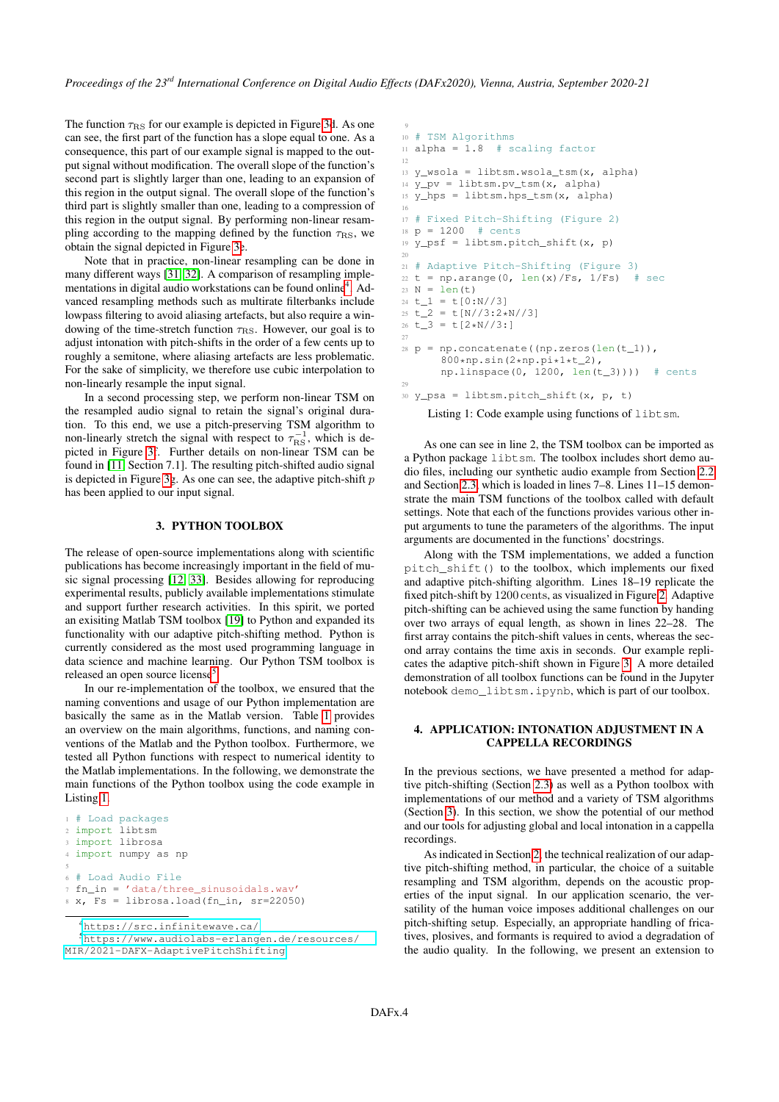The function  $\tau_{RS}$  for our example is depicted in Figure [3d](#page-2-1). As one can see, the first part of the function has a slope equal to one. As a consequence, this part of our example signal is mapped to the output signal without modification. The overall slope of the function's second part is slightly larger than one, leading to an expansion of this region in the output signal. The overall slope of the function's third part is slightly smaller than one, leading to a compression of this region in the output signal. By performing non-linear resampling according to the mapping defined by the function  $\tau_{\rm RS}$ , we obtain the signal depicted in Figure [3e](#page-2-1).

Note that in practice, non-linear resampling can be done in many different ways [\[31,](#page-7-8) [32\]](#page-7-9). A comparison of resampling imple-mentations in digital audio workstations can be found online<sup>[4](#page-3-2)</sup>. Advanced resampling methods such as multirate filterbanks include lowpass filtering to avoid aliasing artefacts, but also require a windowing of the time-stretch function  $\tau_{RS}$ . However, our goal is to adjust intonation with pitch-shifts in the order of a few cents up to roughly a semitone, where aliasing artefacts are less problematic. For the sake of simplicity, we therefore use cubic interpolation to non-linearly resample the input signal.

In a second processing step, we perform non-linear TSM on the resampled audio signal to retain the signal's original duration. To this end, we use a pitch-preserving TSM algorithm to non-linearly stretch the signal with respect to  $\tau_{RS}^{-1}$ , which is depicted in Figure [3f](#page-2-1). Further details on non-linear TSM can be found in [\[11,](#page-6-10) Section 7.1]. The resulting pitch-shifted audio signal is depicted in Figure [3g](#page-2-1). As one can see, the adaptive pitch-shift  $p$ has been applied to our input signal.

#### 3. PYTHON TOOLBOX

<span id="page-3-0"></span>The release of open-source implementations along with scientific publications has become increasingly important in the field of music signal processing [\[12,](#page-6-11) [33\]](#page-7-10). Besides allowing for reproducing experimental results, publicly available implementations stimulate and support further research activities. In this spirit, we ported an exisiting Matlab TSM toolbox [\[19\]](#page-6-18) to Python and expanded its functionality with our adaptive pitch-shifting method. Python is currently considered as the most used programming language in data science and machine learning. Our Python TSM toolbox is released an open source license<sup>[5](#page-3-3)</sup>.

In our re-implementation of the toolbox, we ensured that the naming conventions and usage of our Python implementation are basically the same as in the Matlab version. Table [1](#page-4-0) provides an overview on the main algorithms, functions, and naming conventions of the Matlab and the Python toolbox. Furthermore, we tested all Python functions with respect to numerical identity to the Matlab implementations. In the following, we demonstrate the main functions of the Python toolbox using the code example in Listing [1.](#page-3-4)

```
1 # Load packages
2 import libtsm
3 import librosa
4 import numpy as np
5
6 # Load Audio File
7 fn_in = 'data/three_sinusoidals.wav'
8 \text{ X}, \text{Fs} = \text{librosa.load(fn_in, sr=22050)}
```

```
4https://src.infinitewave.ca/
```

```
5https://www.audiolabs-erlangen.de/resources/
MIR/2021-DAFX-AdaptivePitchShifting
```

```
9
10 # TSM Algorithms
11 alpha = 1.8 # scaling factor
12
13 y_wsola = libtsm.wsola_tsm(x, alpha)
14 y_pv = 1ibtsm.pv_tsm(x, alpha)
15 \text{ y}hps = libtsm.hps_tsm(x, alpha)
16
17 # Fixed Pitch-Shifting (Figure 2)
18 p = 1200 # cents
19 y_psf = libtsm.pitch_shift(x, p)
20
21 # Adaptive Pitch-Shifting (Figure 3)
22 t = np.arange(0, len(x)/Fs, 1/Fs) # sec
23 N = len(t)
24 \text{ t}_1 = \text{ t}[0:N//3]25 \text{ t} = t[N//3:2*N//3]
26 t_{-}3 = t[2*N//3:]27
28 p = np.\text{concatenate}((np.\text{zeros}(len(t_1)),800*np.sin(2*np.pi*1*t_2),
       npu.linspace(0, 1200, len(t_3)))) # cents
29930 \text{ y} psa = libtsm.pitch_shift(x, p, t)
```
Listing 1: Code example using functions of libtsm.

As one can see in line 2, the TSM toolbox can be imported as a Python package libtsm. The toolbox includes short demo audio files, including our synthetic audio example from Section [2.2](#page-1-5) and Section [2.3,](#page-2-0) which is loaded in lines 7–8. Lines 11–15 demonstrate the main TSM functions of the toolbox called with default settings. Note that each of the functions provides various other input arguments to tune the parameters of the algorithms. The input arguments are documented in the functions' docstrings.

Along with the TSM implementations, we added a function pitch\_shift() to the toolbox, which implements our fixed and adaptive pitch-shifting algorithm. Lines 18–19 replicate the fixed pitch-shift by 1200 cents, as visualized in Figure [2.](#page-1-6) Adaptive pitch-shifting can be achieved using the same function by handing over two arrays of equal length, as shown in lines 22–28. The first array contains the pitch-shift values in cents, whereas the second array contains the time axis in seconds. Our example replicates the adaptive pitch-shift shown in Figure [3.](#page-2-1) A more detailed demonstration of all toolbox functions can be found in the Jupyter notebook demo\_libtsm.ipynb, which is part of our toolbox.

# <span id="page-3-1"></span>4. APPLICATION: INTONATION ADJUSTMENT IN A CAPPELLA RECORDINGS

In the previous sections, we have presented a method for adaptive pitch-shifting (Section [2.3\)](#page-2-0) as well as a Python toolbox with implementations of our method and a variety of TSM algorithms (Section [3\)](#page-3-0). In this section, we show the potential of our method and our tools for adjusting global and local intonation in a cappella recordings.

As indicated in Section [2,](#page-1-3) the technical realization of our adaptive pitch-shifting method, in particular, the choice of a suitable resampling and TSM algorithm, depends on the acoustic properties of the input signal. In our application scenario, the versatility of the human voice imposes additional challenges on our pitch-shifting setup. Especially, an appropriate handling of fricatives, plosives, and formants is required to aviod a degradation of the audio quality. In the following, we present an extension to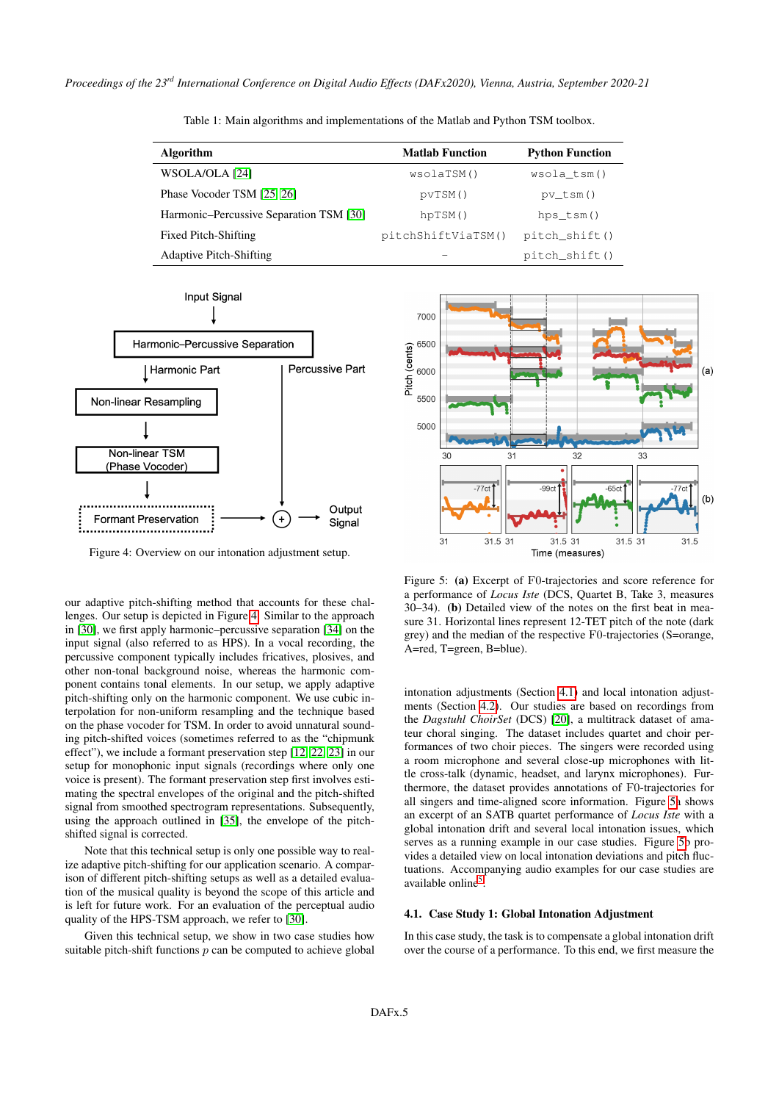<span id="page-4-0"></span>

| Algorithm      | <b>Matlab Function</b> | <b>Python Function</b> |
|----------------|------------------------|------------------------|
| WSOLA/OLA [24] | wsolaTSM()             | wsola tsm()            |

Phase Vocoder TSM  $[25, 26]$  $[25, 26]$  pvTSM() pv\_tsm() Harmonic–Percussive Separation TSM [\[30\]](#page-7-7) hpTSM() hps\_tsm()

Table 1: Main algorithms and implementations of the Matlab and Python TSM toolbox.

<span id="page-4-1"></span>

Figure 4: Overview on our intonation adjustment setup.

our adaptive pitch-shifting method that accounts for these challenges. Our setup is depicted in Figure [4.](#page-4-1) Similar to the approach in [\[30\]](#page-7-7), we first apply harmonic–percussive separation [\[34\]](#page-7-11) on the input signal (also referred to as HPS). In a vocal recording, the percussive component typically includes fricatives, plosives, and other non-tonal background noise, whereas the harmonic component contains tonal elements. In our setup, we apply adaptive pitch-shifting only on the harmonic component. We use cubic interpolation for non-uniform resampling and the technique based on the phase vocoder for TSM. In order to avoid unnatural sounding pitch-shifted voices (sometimes referred to as the "chipmunk effect"), we include a formant preservation step [\[12,](#page-6-11) [22,](#page-6-22) [23\]](#page-7-0) in our setup for monophonic input signals (recordings where only one voice is present). The formant preservation step first involves estimating the spectral envelopes of the original and the pitch-shifted signal from smoothed spectrogram representations. Subsequently, using the approach outlined in [\[35\]](#page-7-12), the envelope of the pitchshifted signal is corrected.

Note that this technical setup is only one possible way to realize adaptive pitch-shifting for our application scenario. A comparison of different pitch-shifting setups as well as a detailed evaluation of the musical quality is beyond the scope of this article and is left for future work. For an evaluation of the perceptual audio quality of the HPS-TSM approach, we refer to [\[30\]](#page-7-7).

Given this technical setup, we show in two case studies how suitable pitch-shift functions  $p$  can be computed to achieve global

<span id="page-4-3"></span>

Figure 5: (a) Excerpt of F0-trajectories and score reference for a performance of *Locus Iste* (DCS, Quartet B, Take 3, measures 30–34). (b) Detailed view of the notes on the first beat in measure 31. Horizontal lines represent 12-TET pitch of the note (dark grey) and the median of the respective F0-trajectories (S=orange, A=red, T=green, B=blue).

intonation adjustments (Section [4.1\)](#page-4-2) and local intonation adjustments (Section [4.2\)](#page-5-0). Our studies are based on recordings from the *Dagstuhl ChoirSet* (DCS) [\[20\]](#page-6-19), a multitrack dataset of amateur choral singing. The dataset includes quartet and choir performances of two choir pieces. The singers were recorded using a room microphone and several close-up microphones with little cross-talk (dynamic, headset, and larynx microphones). Furthermore, the dataset provides annotations of F0-trajectories for all singers and time-aligned score information. Figure [5a](#page-4-3) shows an excerpt of an SATB quartet performance of *Locus Iste* with a global intonation drift and several local intonation issues, which serves as a running example in our case studies. Figure [5b](#page-4-3) provides a detailed view on local intonation deviations and pitch fluctuations. Accompanying audio examples for our case studies are available online<sup>[5](#page-3-3)</sup>.

#### <span id="page-4-2"></span>4.1. Case Study 1: Global Intonation Adjustment

In this case study, the task is to compensate a global intonation drift over the course of a performance. To this end, we first measure the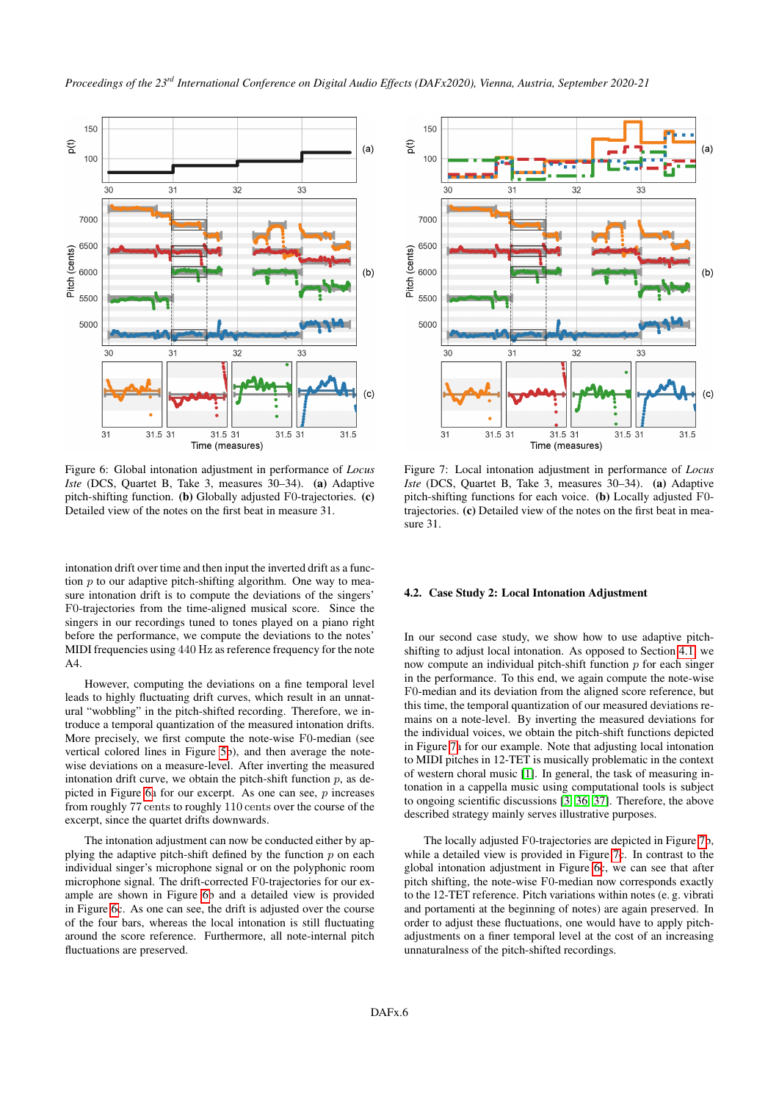<span id="page-5-1"></span>

Figure 6: Global intonation adjustment in performance of *Locus Iste* (DCS, Quartet B, Take 3, measures 30–34). (a) Adaptive pitch-shifting function. (b) Globally adjusted F0-trajectories. (c) Detailed view of the notes on the first beat in measure 31.

31.5 31

Time (measures)

31.5 31

 $31.5$ 

 $31$ 

31.5 31

intonation drift over time and then input the inverted drift as a function  $p$  to our adaptive pitch-shifting algorithm. One way to measure intonation drift is to compute the deviations of the singers' F0-trajectories from the time-aligned musical score. Since the singers in our recordings tuned to tones played on a piano right before the performance, we compute the deviations to the notes' MIDI frequencies using 440 Hz as reference frequency for the note A4.

However, computing the deviations on a fine temporal level leads to highly fluctuating drift curves, which result in an unnatural "wobbling" in the pitch-shifted recording. Therefore, we introduce a temporal quantization of the measured intonation drifts. More precisely, we first compute the note-wise F0-median (see vertical colored lines in Figure [5b](#page-4-3)), and then average the notewise deviations on a measure-level. After inverting the measured intonation drift curve, we obtain the pitch-shift function  $p$ , as de-picted in Figure [6a](#page-5-1) for our excerpt. As one can see,  $p$  increases from roughly 77 cents to roughly 110 cents over the course of the excerpt, since the quartet drifts downwards.

The intonation adjustment can now be conducted either by applying the adaptive pitch-shift defined by the function  $p$  on each individual singer's microphone signal or on the polyphonic room microphone signal. The drift-corrected F0-trajectories for our example are shown in Figure [6b](#page-5-1) and a detailed view is provided in Figure [6c](#page-5-1). As one can see, the drift is adjusted over the course of the four bars, whereas the local intonation is still fluctuating around the score reference. Furthermore, all note-internal pitch fluctuations are preserved.

<span id="page-5-2"></span>

Figure 7: Local intonation adjustment in performance of *Locus Iste* (DCS, Quartet B, Take 3, measures 30–34). (a) Adaptive pitch-shifting functions for each voice. (b) Locally adjusted F0 trajectories. (c) Detailed view of the notes on the first beat in measure 31.

#### <span id="page-5-0"></span>4.2. Case Study 2: Local Intonation Adjustment

In our second case study, we show how to use adaptive pitchshifting to adjust local intonation. As opposed to Section [4.1,](#page-4-2) we now compute an individual pitch-shift function  $p$  for each singer in the performance. To this end, we again compute the note-wise F0-median and its deviation from the aligned score reference, but this time, the temporal quantization of our measured deviations remains on a note-level. By inverting the measured deviations for the individual voices, we obtain the pitch-shift functions depicted in Figure [7a](#page-5-2) for our example. Note that adjusting local intonation to MIDI pitches in 12-TET is musically problematic in the context of western choral music [\[1\]](#page-6-0). In general, the task of measuring intonation in a cappella music using computational tools is subject to ongoing scientific discussions [\[3,](#page-6-2) [36,](#page-7-13) [37\]](#page-7-14). Therefore, the above described strategy mainly serves illustrative purposes.

The locally adjusted F0-trajectories are depicted in Figure [7b](#page-5-2), while a detailed view is provided in Figure [7c](#page-5-2). In contrast to the global intonation adjustment in Figure [6c](#page-5-1), we can see that after pitch shifting, the note-wise F0-median now corresponds exactly to the 12-TET reference. Pitch variations within notes (e. g. vibrati and portamenti at the beginning of notes) are again preserved. In order to adjust these fluctuations, one would have to apply pitchadjustments on a finer temporal level at the cost of an increasing unnaturalness of the pitch-shifted recordings.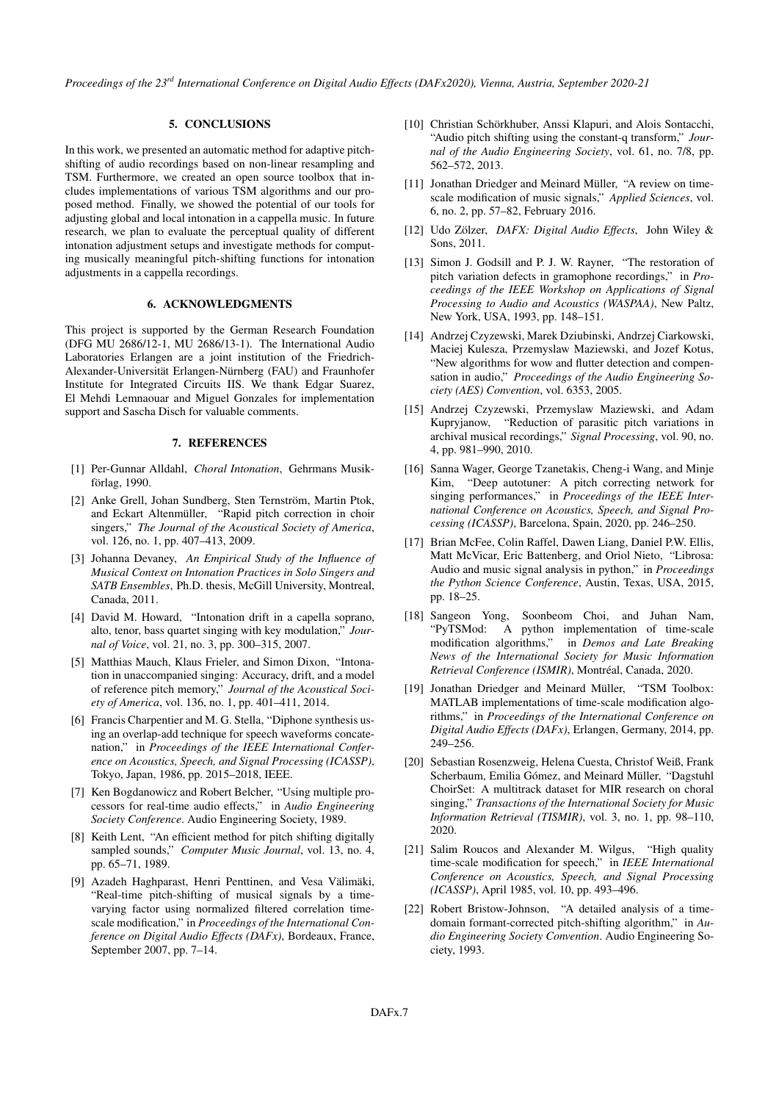*Proceedings of the 23rd International Conference on Digital Audio Effects (DAFx2020), Vienna, Austria, September 2020-21*

# 5. CONCLUSIONS

<span id="page-6-20"></span>In this work, we presented an automatic method for adaptive pitchshifting of audio recordings based on non-linear resampling and TSM. Furthermore, we created an open source toolbox that includes implementations of various TSM algorithms and our proposed method. Finally, we showed the potential of our tools for adjusting global and local intonation in a cappella music. In future research, we plan to evaluate the perceptual quality of different intonation adjustment setups and investigate methods for computing musically meaningful pitch-shifting functions for intonation adjustments in a cappella recordings.

# 6. ACKNOWLEDGMENTS

This project is supported by the German Research Foundation (DFG MU 2686/12-1, MU 2686/13-1). The International Audio Laboratories Erlangen are a joint institution of the Friedrich-Alexander-Universität Erlangen-Nürnberg (FAU) and Fraunhofer Institute for Integrated Circuits IIS. We thank Edgar Suarez, El Mehdi Lemnaouar and Miguel Gonzales for implementation support and Sascha Disch for valuable comments.

### 7. REFERENCES

- <span id="page-6-0"></span>[1] Per-Gunnar Alldahl, *Choral Intonation*, Gehrmans Musikförlag, 1990.
- <span id="page-6-1"></span>[2] Anke Grell, Johan Sundberg, Sten Ternström, Martin Ptok, and Eckart Altenmüller, "Rapid pitch correction in choir singers," *The Journal of the Acoustical Society of America*, vol. 126, no. 1, pp. 407–413, 2009.
- <span id="page-6-2"></span>[3] Johanna Devaney, *An Empirical Study of the Influence of Musical Context on Intonation Practices in Solo Singers and SATB Ensembles*, Ph.D. thesis, McGill University, Montreal, Canada, 2011.
- <span id="page-6-3"></span>[4] David M. Howard, "Intonation drift in a capella soprano, alto, tenor, bass quartet singing with key modulation," *Journal of Voice*, vol. 21, no. 3, pp. 300–315, 2007.
- <span id="page-6-4"></span>[5] Matthias Mauch, Klaus Frieler, and Simon Dixon, "Intonation in unaccompanied singing: Accuracy, drift, and a model of reference pitch memory," *Journal of the Acoustical Society of America*, vol. 136, no. 1, pp. 401–411, 2014.
- <span id="page-6-5"></span>[6] Francis Charpentier and M. G. Stella, "Diphone synthesis using an overlap-add technique for speech waveforms concatenation," in *Proceedings of the IEEE International Conference on Acoustics, Speech, and Signal Processing (ICASSP)*, Tokyo, Japan, 1986, pp. 2015–2018, IEEE.
- <span id="page-6-6"></span>[7] Ken Bogdanowicz and Robert Belcher, "Using multiple processors for real-time audio effects," in *Audio Engineering Society Conference*. Audio Engineering Society, 1989.
- <span id="page-6-7"></span>[8] Keith Lent, "An efficient method for pitch shifting digitally sampled sounds," *Computer Music Journal*, vol. 13, no. 4, pp. 65–71, 1989.
- <span id="page-6-8"></span>[9] Azadeh Haghparast, Henri Penttinen, and Vesa Välimäki, "Real-time pitch-shifting of musical signals by a timevarying factor using normalized filtered correlation timescale modification," in *Proceedings of the International Conference on Digital Audio Effects (DAFx)*, Bordeaux, France, September 2007, pp. 7–14.
- <span id="page-6-9"></span>[10] Christian Schörkhuber, Anssi Klapuri, and Alois Sontacchi, "Audio pitch shifting using the constant-q transform," *Journal of the Audio Engineering Society*, vol. 61, no. 7/8, pp. 562–572, 2013.
- <span id="page-6-10"></span>[11] Jonathan Driedger and Meinard Müller, "A review on timescale modification of music signals," *Applied Sciences*, vol. 6, no. 2, pp. 57–82, February 2016.
- <span id="page-6-11"></span>[12] Udo Zölzer, *DAFX: Digital Audio Effects*, John Wiley & Sons, 2011.
- <span id="page-6-12"></span>[13] Simon J. Godsill and P. J. W. Rayner, "The restoration of pitch variation defects in gramophone recordings," in *Proceedings of the IEEE Workshop on Applications of Signal Processing to Audio and Acoustics (WASPAA)*, New Paltz, New York, USA, 1993, pp. 148–151.
- <span id="page-6-13"></span>[14] Andrzej Czyzewski, Marek Dziubinski, Andrzej Ciarkowski, Maciej Kulesza, Przemyslaw Maziewski, and Jozef Kotus, "New algorithms for wow and flutter detection and compensation in audio," *Proceedings of the Audio Engineering Society (AES) Convention*, vol. 6353, 2005.
- <span id="page-6-14"></span>[15] Andrzej Czyzewski, Przemyslaw Maziewski, and Adam Kupryjanow, "Reduction of parasitic pitch variations in archival musical recordings," *Signal Processing*, vol. 90, no. 4, pp. 981–990, 2010.
- <span id="page-6-15"></span>[16] Sanna Wager, George Tzanetakis, Cheng-i Wang, and Minje Kim, "Deep autotuner: A pitch correcting network for singing performances," in *Proceedings of the IEEE International Conference on Acoustics, Speech, and Signal Processing (ICASSP)*, Barcelona, Spain, 2020, pp. 246–250.
- <span id="page-6-16"></span>[17] Brian McFee, Colin Raffel, Dawen Liang, Daniel P.W. Ellis, Matt McVicar, Eric Battenberg, and Oriol Nieto, "Librosa: Audio and music signal analysis in python," in *Proceedings the Python Science Conference*, Austin, Texas, USA, 2015, pp. 18–25.
- <span id="page-6-17"></span>[18] Sangeon Yong, Soonbeom Choi, and Juhan Nam, "PyTSMod: A python implementation of time-scale modification algorithms," in *Demos and Late Breaking News of the International Society for Music Information Retrieval Conference (ISMIR)*, Montréal, Canada, 2020.
- <span id="page-6-18"></span>[19] Jonathan Driedger and Meinard Müller, "TSM Toolbox: MATLAB implementations of time-scale modification algorithms," in *Proceedings of the International Conference on Digital Audio Effects (DAFx)*, Erlangen, Germany, 2014, pp. 249–256.
- <span id="page-6-19"></span>[20] Sebastian Rosenzweig, Helena Cuesta, Christof Weiß, Frank Scherbaum, Emilia Gómez, and Meinard Müller, "Dagstuhl ChoirSet: A multitrack dataset for MIR research on choral singing," *Transactions of the International Society for Music Information Retrieval (TISMIR)*, vol. 3, no. 1, pp. 98–110, 2020.
- <span id="page-6-21"></span>[21] Salim Roucos and Alexander M. Wilgus, "High quality time-scale modification for speech," in *IEEE International Conference on Acoustics, Speech, and Signal Processing (ICASSP)*, April 1985, vol. 10, pp. 493–496.
- <span id="page-6-22"></span>[22] Robert Bristow-Johnson, "A detailed analysis of a timedomain formant-corrected pitch-shifting algorithm," in *Audio Engineering Society Convention*. Audio Engineering Society, 1993.